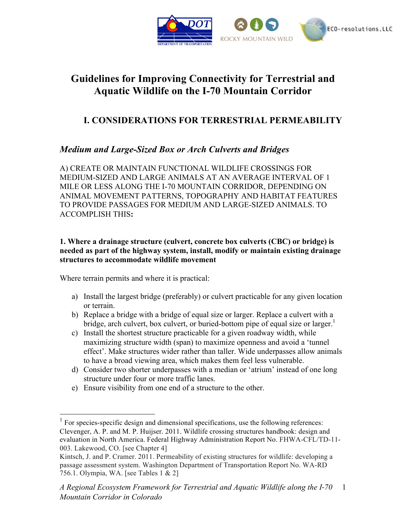

# **Guidelines for Improving Connectivity for Terrestrial and Aquatic Wildlife on the I-70 Mountain Corridor**

# **I. CONSIDERATIONS FOR TERRESTRIAL PERMEABILITY**

# *Medium and Large-Sized Box or Arch Culverts and Bridges*

A) CREATE OR MAINTAIN FUNCTIONAL WILDLIFE CROSSINGS FOR MEDIUM-SIZED AND LARGE ANIMALS AT AN AVERAGE INTERVAL OF 1 MILE OR LESS ALONG THE I-70 MOUNTAIN CORRIDOR, DEPENDING ON ANIMAL MOVEMENT PATTERNS, TOPOGRAPHY AND HABITAT FEATURES TO PROVIDE PASSAGES FOR MEDIUM AND LARGE-SIZED ANIMALS. TO ACCOMPLISH THIS**:**

## **1. Where a drainage structure (culvert, concrete box culverts (CBC) or bridge) is needed as part of the highway system, install, modify or maintain existing drainage structures to accommodate wildlife movement**

Where terrain permits and where it is practical:

- a) Install the largest bridge (preferably) or culvert practicable for any given location or terrain.
- b) Replace a bridge with a bridge of equal size or larger. Replace a culvert with a bridge, arch culvert, box culvert, or buried-bottom pipe of equal size or larger.<sup>1</sup>
- c) Install the shortest structure practicable for a given roadway width, while maximizing structure width (span) to maximize openness and avoid a 'tunnel effect'. Make structures wider rather than taller. Wide underpasses allow animals to have a broad viewing area, which makes them feel less vulnerable.
- d) Consider two shorter underpasses with a median or 'atrium' instead of one long structure under four or more traffic lanes.
- e) Ensure visibility from one end of a structure to the other.

<sup>&</sup>lt;sup>1</sup> For species-specific design and dimensional specifications, use the following references: Clevenger, A. P. and M. P. Huijser. 2011. Wildlife crossing structures handbook: design and evaluation in North America. Federal Highway Administration Report No. FHWA-CFL/TD-11- 003. Lakewood, CO. [see Chapter 4]

Kintsch, J. and P. Cramer. 2011. Permeability of existing structures for wildlife: developing a passage assessment system. Washington Department of Transportation Report No. WA-RD 756.1. Olympia, WA. [see Tables 1 & 2]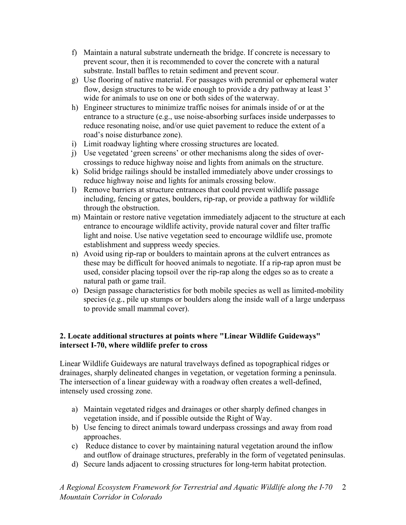- f) Maintain a natural substrate underneath the bridge. If concrete is necessary to prevent scour, then it is recommended to cover the concrete with a natural substrate. Install baffles to retain sediment and prevent scour.
- g) Use flooring of native material. For passages with perennial or ephemeral water flow, design structures to be wide enough to provide a dry pathway at least 3' wide for animals to use on one or both sides of the waterway.
- h) Engineer structures to minimize traffic noises for animals inside of or at the entrance to a structure (e.g., use noise-absorbing surfaces inside underpasses to reduce resonating noise, and/or use quiet pavement to reduce the extent of a road's noise disturbance zone).
- i) Limit roadway lighting where crossing structures are located.
- j) Use vegetated 'green screens' or other mechanisms along the sides of overcrossings to reduce highway noise and lights from animals on the structure.
- k) Solid bridge railings should be installed immediately above under crossings to reduce highway noise and lights for animals crossing below.
- l) Remove barriers at structure entrances that could prevent wildlife passage including, fencing or gates, boulders, rip-rap, or provide a pathway for wildlife through the obstruction.
- m) Maintain or restore native vegetation immediately adjacent to the structure at each entrance to encourage wildlife activity, provide natural cover and filter traffic light and noise. Use native vegetation seed to encourage wildlife use, promote establishment and suppress weedy species.
- n) Avoid using rip-rap or boulders to maintain aprons at the culvert entrances as these may be difficult for hooved animals to negotiate. If a rip-rap apron must be used, consider placing topsoil over the rip-rap along the edges so as to create a natural path or game trail.
- o) Design passage characteristics for both mobile species as well as limited-mobility species (e.g., pile up stumps or boulders along the inside wall of a large underpass to provide small mammal cover).

# **2. Locate additional structures at points where "Linear Wildlife Guideways" intersect I-70, where wildlife prefer to cross**

Linear Wildlife Guideways are natural travelways defined as topographical ridges or drainages, sharply delineated changes in vegetation, or vegetation forming a peninsula. The intersection of a linear guideway with a roadway often creates a well-defined, intensely used crossing zone.

- a) Maintain vegetated ridges and drainages or other sharply defined changes in vegetation inside, and if possible outside the Right of Way.
- b) Use fencing to direct animals toward underpass crossings and away from road approaches.
- c) Reduce distance to cover by maintaining natural vegetation around the inflow and outflow of drainage structures, preferably in the form of vegetated peninsulas.
- d) Secure lands adjacent to crossing structures for long-term habitat protection.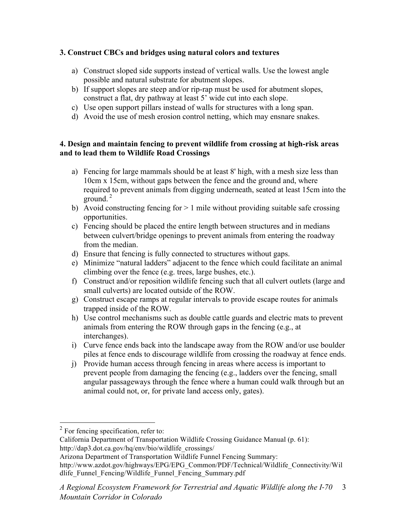# **3. Construct CBCs and bridges using natural colors and textures**

- a) Construct sloped side supports instead of vertical walls. Use the lowest angle possible and natural substrate for abutment slopes.
- b) If support slopes are steep and/or rip-rap must be used for abutment slopes, construct a flat, dry pathway at least 5' wide cut into each slope.
- c) Use open support pillars instead of walls for structures with a long span.
- d) Avoid the use of mesh erosion control netting, which may ensnare snakes.

### **4. Design and maintain fencing to prevent wildlife from crossing at high-risk areas and to lead them to Wildlife Road Crossings**

- a) Fencing for large mammals should be at least 8' high, with a mesh size less than 10cm x 15cm, without gaps between the fence and the ground and, where required to prevent animals from digging underneath, seated at least 15cm into the ground. $2$
- b) Avoid constructing fencing for  $> 1$  mile without providing suitable safe crossing opportunities.
- c) Fencing should be placed the entire length between structures and in medians between culvert/bridge openings to prevent animals from entering the roadway from the median.
- d) Ensure that fencing is fully connected to structures without gaps.
- e) Minimize "natural ladders" adjacent to the fence which could facilitate an animal climbing over the fence (e.g. trees, large bushes, etc.).
- f) Construct and/or reposition wildlife fencing such that all culvert outlets (large and small culverts) are located outside of the ROW.
- g) Construct escape ramps at regular intervals to provide escape routes for animals trapped inside of the ROW.
- h) Use control mechanisms such as double cattle guards and electric mats to prevent animals from entering the ROW through gaps in the fencing (e.g., at interchanges).
- i) Curve fence ends back into the landscape away from the ROW and/or use boulder piles at fence ends to discourage wildlife from crossing the roadway at fence ends.
- j) Provide human access through fencing in areas where access is important to prevent people from damaging the fencing (e.g., ladders over the fencing, small angular passageways through the fence where a human could walk through but an animal could not, or, for private land access only, gates).

 $2$  For fencing specification, refer to:

California Department of Transportation Wildlife Crossing Guidance Manual (p. 61): http://dap3.dot.ca.gov/hq/env/bio/wildlife\_crossings/

Arizona Department of Transportation Wildlife Funnel Fencing Summary:

http://www.azdot.gov/highways/EPG/EPG\_Common/PDF/Technical/Wildlife\_Connectivity/Wil dlife Funnel Fencing/Wildlife Funnel Fencing Summary.pdf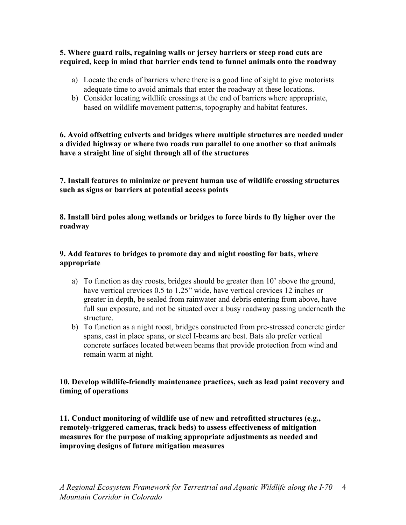#### **5. Where guard rails, regaining walls or jersey barriers or steep road cuts are required, keep in mind that barrier ends tend to funnel animals onto the roadway**

- a) Locate the ends of barriers where there is a good line of sight to give motorists adequate time to avoid animals that enter the roadway at these locations.
- b) Consider locating wildlife crossings at the end of barriers where appropriate, based on wildlife movement patterns, topography and habitat features.

### **6. Avoid offsetting culverts and bridges where multiple structures are needed under a divided highway or where two roads run parallel to one another so that animals have a straight line of sight through all of the structures**

**7. Install features to minimize or prevent human use of wildlife crossing structures such as signs or barriers at potential access points**

**8. Install bird poles along wetlands or bridges to force birds to fly higher over the roadway**

### **9. Add features to bridges to promote day and night roosting for bats, where appropriate**

- a) To function as day roosts, bridges should be greater than 10' above the ground, have vertical crevices 0.5 to 1.25" wide, have vertical crevices 12 inches or greater in depth, be sealed from rainwater and debris entering from above, have full sun exposure, and not be situated over a busy roadway passing underneath the structure.
- b) To function as a night roost, bridges constructed from pre-stressed concrete girder spans, cast in place spans, or steel I-beams are best. Bats alo prefer vertical concrete surfaces located between beams that provide protection from wind and remain warm at night.

# **10. Develop wildlife-friendly maintenance practices, such as lead paint recovery and timing of operations**

**11. Conduct monitoring of wildlife use of new and retrofitted structures (e.g., remotely-triggered cameras, track beds) to assess effectiveness of mitigation measures for the purpose of making appropriate adjustments as needed and improving designs of future mitigation measures**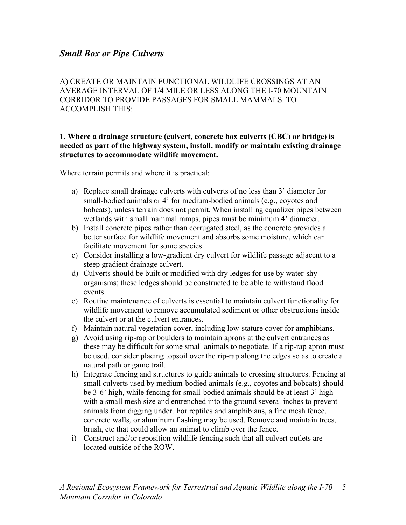# *Small Box or Pipe Culverts*

A) CREATE OR MAINTAIN FUNCTIONAL WILDLIFE CROSSINGS AT AN AVERAGE INTERVAL OF 1/4 MILE OR LESS ALONG THE I-70 MOUNTAIN CORRIDOR TO PROVIDE PASSAGES FOR SMALL MAMMALS. TO ACCOMPLISH THIS:

#### **1. Where a drainage structure (culvert, concrete box culverts (CBC) or bridge) is needed as part of the highway system, install, modify or maintain existing drainage structures to accommodate wildlife movement.**

Where terrain permits and where it is practical:

- a) Replace small drainage culverts with culverts of no less than 3' diameter for small-bodied animals or 4' for medium-bodied animals (e.g., coyotes and bobcats), unless terrain does not permit. When installing equalizer pipes between wetlands with small mammal ramps, pipes must be minimum 4' diameter.
- b) Install concrete pipes rather than corrugated steel, as the concrete provides a better surface for wildlife movement and absorbs some moisture, which can facilitate movement for some species.
- c) Consider installing a low-gradient dry culvert for wildlife passage adjacent to a steep gradient drainage culvert.
- d) Culverts should be built or modified with dry ledges for use by water-shy organisms; these ledges should be constructed to be able to withstand flood events.
- e) Routine maintenance of culverts is essential to maintain culvert functionality for wildlife movement to remove accumulated sediment or other obstructions inside the culvert or at the culvert entrances.
- f) Maintain natural vegetation cover, including low-stature cover for amphibians.
- g) Avoid using rip-rap or boulders to maintain aprons at the culvert entrances as these may be difficult for some small animals to negotiate. If a rip-rap apron must be used, consider placing topsoil over the rip-rap along the edges so as to create a natural path or game trail.
- h) Integrate fencing and structures to guide animals to crossing structures. Fencing at small culverts used by medium-bodied animals (e.g., coyotes and bobcats) should be 3-6' high, while fencing for small-bodied animals should be at least 3' high with a small mesh size and entrenched into the ground several inches to prevent animals from digging under. For reptiles and amphibians, a fine mesh fence, concrete walls, or aluminum flashing may be used. Remove and maintain trees, brush, etc that could allow an animal to climb over the fence.
- i) Construct and/or reposition wildlife fencing such that all culvert outlets are located outside of the ROW.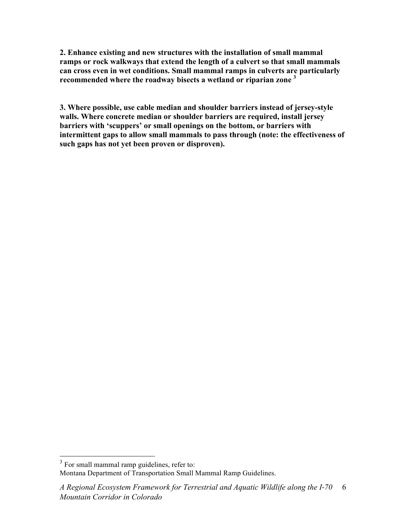**2. Enhance existing and new structures with the installation of small mammal ramps or rock walkways that extend the length of a culvert so that small mammals can cross even in wet conditions. Small mammal ramps in culverts are particularly recommended where the roadway bisects a wetland or riparian zone 3**

**3. Where possible, use cable median and shoulder barriers instead of jersey-style walls. Where concrete median or shoulder barriers are required, install jersey barriers with 'scuppers' or small openings on the bottom, or barriers with intermittent gaps to allow small mammals to pass through (note: the effectiveness of such gaps has not yet been proven or disproven).**

<sup>&</sup>lt;sup>3</sup> For small mammal ramp guidelines, refer to: Montana Department of Transportation Small Mammal Ramp Guidelines.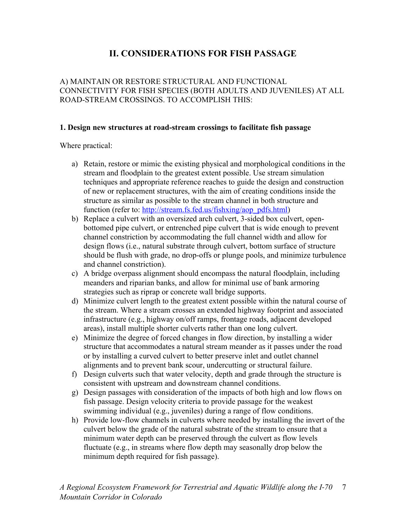# **II. CONSIDERATIONS FOR FISH PASSAGE**

# A) MAINTAIN OR RESTORE STRUCTURAL AND FUNCTIONAL CONNECTIVITY FOR FISH SPECIES (BOTH ADULTS AND JUVENILES) AT ALL ROAD-STREAM CROSSINGS. TO ACCOMPLISH THIS:

### **1. Design new structures at road-stream crossings to facilitate fish passage**

Where practical:

- a) Retain, restore or mimic the existing physical and morphological conditions in the stream and floodplain to the greatest extent possible. Use stream simulation techniques and appropriate reference reaches to guide the design and construction of new or replacement structures, with the aim of creating conditions inside the structure as similar as possible to the stream channel in both structure and function (refer to: http://stream.fs.fed.us/fishxing/aop\_pdfs.html)
- b) Replace a culvert with an oversized arch culvert, 3-sided box culvert, openbottomed pipe culvert, or entrenched pipe culvert that is wide enough to prevent channel constriction by accommodating the full channel width and allow for design flows (i.e., natural substrate through culvert, bottom surface of structure should be flush with grade, no drop-offs or plunge pools, and minimize turbulence and channel constriction).
- c) A bridge overpass alignment should encompass the natural floodplain, including meanders and riparian banks, and allow for minimal use of bank armoring strategies such as riprap or concrete wall bridge supports.
- d) Minimize culvert length to the greatest extent possible within the natural course of the stream. Where a stream crosses an extended highway footprint and associated infrastructure (e.g., highway on/off ramps, frontage roads, adjacent developed areas), install multiple shorter culverts rather than one long culvert.
- e) Minimize the degree of forced changes in flow direction, by installing a wider structure that accommodates a natural stream meander as it passes under the road or by installing a curved culvert to better preserve inlet and outlet channel alignments and to prevent bank scour, undercutting or structural failure.
- f) Design culverts such that water velocity, depth and grade through the structure is consistent with upstream and downstream channel conditions.
- g) Design passages with consideration of the impacts of both high and low flows on fish passage. Design velocity criteria to provide passage for the weakest swimming individual (e.g., juveniles) during a range of flow conditions.
- h) Provide low-flow channels in culverts where needed by installing the invert of the culvert below the grade of the natural substrate of the stream to ensure that a minimum water depth can be preserved through the culvert as flow levels fluctuate (e.g., in streams where flow depth may seasonally drop below the minimum depth required for fish passage).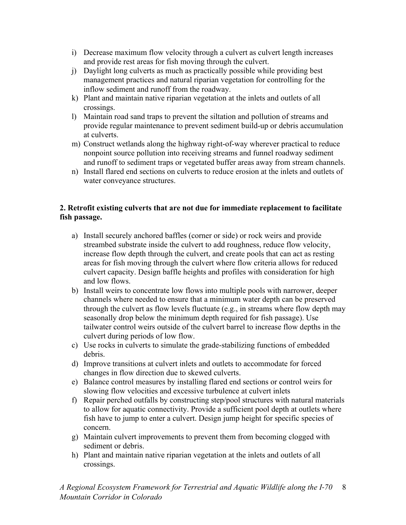- i) Decrease maximum flow velocity through a culvert as culvert length increases and provide rest areas for fish moving through the culvert.
- j) Daylight long culverts as much as practically possible while providing best management practices and natural riparian vegetation for controlling for the inflow sediment and runoff from the roadway.
- k) Plant and maintain native riparian vegetation at the inlets and outlets of all crossings.
- l) Maintain road sand traps to prevent the siltation and pollution of streams and provide regular maintenance to prevent sediment build-up or debris accumulation at culverts.
- m) Construct wetlands along the highway right-of-way wherever practical to reduce nonpoint source pollution into receiving streams and funnel roadway sediment and runoff to sediment traps or vegetated buffer areas away from stream channels.
- n) Install flared end sections on culverts to reduce erosion at the inlets and outlets of water conveyance structures.

## **2. Retrofit existing culverts that are not due for immediate replacement to facilitate fish passage.**

- a) Install securely anchored baffles (corner or side) or rock weirs and provide streambed substrate inside the culvert to add roughness, reduce flow velocity, increase flow depth through the culvert, and create pools that can act as resting areas for fish moving through the culvert where flow criteria allows for reduced culvert capacity. Design baffle heights and profiles with consideration for high and low flows.
- b) Install weirs to concentrate low flows into multiple pools with narrower, deeper channels where needed to ensure that a minimum water depth can be preserved through the culvert as flow levels fluctuate (e.g., in streams where flow depth may seasonally drop below the minimum depth required for fish passage). Use tailwater control weirs outside of the culvert barrel to increase flow depths in the culvert during periods of low flow.
- c) Use rocks in culverts to simulate the grade-stabilizing functions of embedded debris.
- d) Improve transitions at culvert inlets and outlets to accommodate for forced changes in flow direction due to skewed culverts.
- e) Balance control measures by installing flared end sections or control weirs for slowing flow velocities and excessive turbulence at culvert inlets
- f) Repair perched outfalls by constructing step/pool structures with natural materials to allow for aquatic connectivity. Provide a sufficient pool depth at outlets where fish have to jump to enter a culvert. Design jump height for specific species of concern.
- g) Maintain culvert improvements to prevent them from becoming clogged with sediment or debris.
- h) Plant and maintain native riparian vegetation at the inlets and outlets of all crossings.

*A Regional Ecosystem Framework for Terrestrial and Aquatic Wildlife along the I!70*  8 *Mountain Corridor in Colorado*